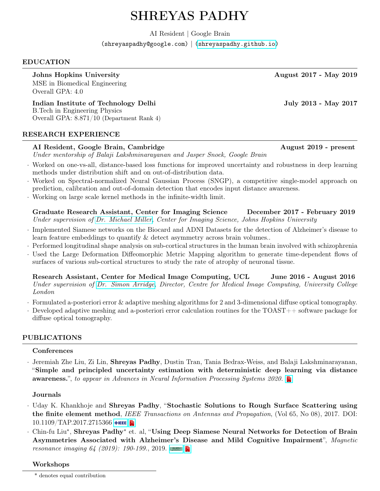# SHREYAS PADHY

AI Resident | Google Brain

(shreyaspadhy@google.com) | [\(shreyaspadhy.github.io\)](shreyaspadhy.github.io)

## EDUCATION

Johns Hopkins University August 2017 - May 2019

MSE in Biomedical Engineering Overall GPA: 4.0

Indian Institute of Technology Delhi July 2013 - May 2017 B.Tech in Engineering Physics Overall GPA: 8.871/10 (Department Rank 4)

## RESEARCH EXPERIENCE

## AI Resident, Google Brain, Cambridge August 2019 - present

Under mentorship of Balaji Lakshminarayanan and Jasper Snoek, Google Brain

- · Worked on one-vs-all, distance-based loss functions for improved uncertainty and robustness in deep learning methods under distribution shift and on out-of-distribution data.
- · Worked on Spectral-normalized Neural Gaussian Process (SNGP), a competitive single-model approach on prediction, calibration and out-of-domain detection that encodes input distance awareness.
- · Working on large scale kernel methods in the infinite-width limit.
- Graduate Research Assistant, Center for Imaging Science December 2017 February 2019 Under supervision of [Dr. Michael Miller,](https://www.bme.jhu.edu/faculty_staff/michael-i-miller-phd/) Center for Imaging Science, Johns Hopkins University
- · Implemented Siamese networks on the Biocard and ADNI Datasets for the detection of Alzheimer's disease to learn feature embeddings to quantify & detect asymmetry across brain volumes..
- · Performed longitudinal shape analysis on sub-cortical structures in the human brain involved with schizophrenia
- · Used the Large Deformation Diffeomorphic Metric Mapping algorithm to generate time-dependent flows of surfaces of various sub-cortical structures to study the rate of atrophy of neuronal tissue.

Research Assistant, Center for Medical Image Computing, UCL June 2016 - August 2016 Under supervision of [Dr. Simon Arridge,](http://cmic.cs.ucl.ac.uk/staff/simon_arridge/) Director, Centre for Medical Image Computing, University College London

- · Formulated a-posteriori error & adaptive meshing algorithms for 2 and 3-dimensional diffuse optical tomography.
- · Developed adaptive meshing and a-posteriori error calculation routines for the TOAST++ software package for diffuse optical tomography.

## PUBLICATIONS

## **Conferences**

· Jeremiah Zhe Liu, Zi Lin, Shreyas Padhy, Dustin Tran, Tania Bedrax-Weiss, and Balaji Lakshminarayanan, "Simple and principled uncertainty estimation with deterministic deep learning via distance awareness.", to appear in Advances in Neural Information Processing Systems 2020.

## Journals

- · Uday K. Khankhoje and Shreyas Padhy, "Stochastic Solutions to Rough Surface Scattering using the finite element method, IEEE Transactions on Antennas and Propagation, (Vol 65, No 08), 2017. DOI: 10.1109/ТАР.2017.2715366 ♦ЕЕЕ
- · Chin-fu Liu<sup>∗</sup> , Shreyas Padhy<sup>∗</sup> et. al, "Using Deep Siamese Neural Networks for Detection of Brain Asymmetries Associated with Alzheimer's Disease and Mild Cognitive Impairment", Magnetic resonance imaging 64 (2019): 190-199., 2019.

## Workshops

<sup>\*</sup> denotes equal contribution